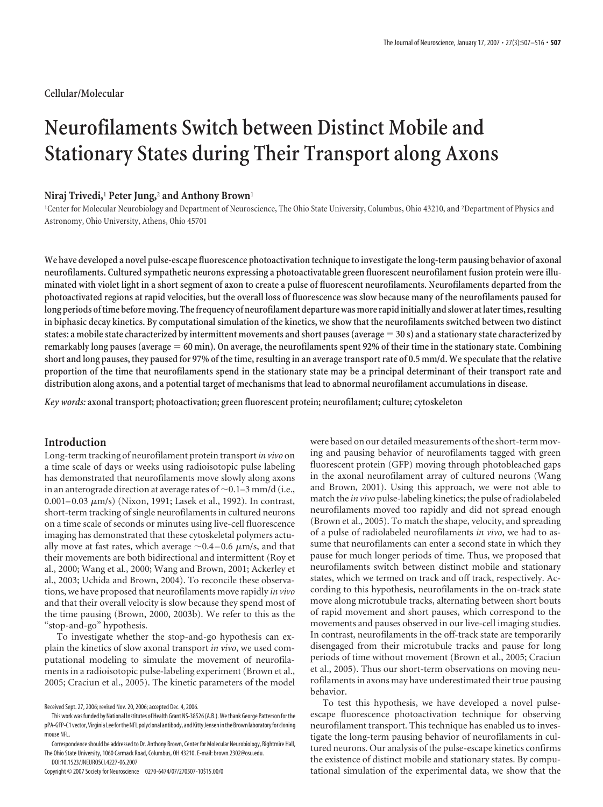# **Cellular/Molecular**

# **Neurofilaments Switch between Distinct Mobile and Stationary States during Their Transport along Axons**

## **Niraj Trivedi,**<sup>1</sup> **Peter Jung,**<sup>2</sup> **and Anthony Brown**<sup>1</sup>

1 Center for Molecular Neurobiology and Department of Neuroscience, The Ohio State University, Columbus, Ohio 43210, and <sup>2</sup> Department of Physics and Astronomy, Ohio University, Athens, Ohio 45701

**We have developed a novel pulse-escape fluorescence photoactivation technique to investigate the long-term pausing behavior of axonal neurofilaments. Cultured sympathetic neurons expressing a photoactivatable green fluorescent neurofilament fusion protein were illuminated with violet light in a short segment of axon to create a pulse of fluorescent neurofilaments. Neurofilaments departed from the photoactivated regions at rapid velocities, but the overall loss of fluorescence was slow because many of the neurofilaments paused for** long periods of time before moving. The frequency of neurofilament departure was more rapid initially and slower at later times, resulting **in biphasic decay kinetics. By computational simulation of the kinetics, we show that the neurofilaments switched between two distinct states: a mobile state characterized by intermittent movements and short pauses (average 30 s) and a stationary state characterized by remarkably long pauses (average 60 min). On average, the neurofilaments spent 92% of their time in the stationary state. Combining short and long pauses, they paused for 97% of the time, resulting in an average transport rate of 0.5 mm/d. We speculate that the relative proportion of the time that neurofilaments spend in the stationary state may be a principal determinant of their transport rate and distribution along axons, and a potential target of mechanisms that lead to abnormal neurofilament accumulations in disease.**

*Key words:* **axonal transport; photoactivation; green fluorescent protein; neurofilament; culture; cytoskeleton**

# **Introduction**

Long-term tracking of neurofilament protein transport *in vivo* on a time scale of days or weeks using radioisotopic pulse labeling has demonstrated that neurofilaments move slowly along axons in an anterograde direction at average rates of  ${\sim}$  0.1–3 mm/d (i.e., 0.001–0.03 m/s) (Nixon, 1991; Lasek et al., 1992). In contrast, short-term tracking of single neurofilaments in cultured neurons on a time scale of seconds or minutes using live-cell fluorescence imaging has demonstrated that these cytoskeletal polymers actually move at fast rates, which average  ${\sim}0.4{-}0.6$   ${\rm \mu m/s},$  and that their movements are both bidirectional and intermittent (Roy et al., 2000; Wang et al., 2000; Wang and Brown, 2001; Ackerley et al., 2003; Uchida and Brown, 2004). To reconcile these observations, we have proposed that neurofilaments move rapidly *in vivo* and that their overall velocity is slow because they spend most of the time pausing (Brown, 2000, 2003b). We refer to this as the "stop-and-go" hypothesis.

To investigate whether the stop-and-go hypothesis can explain the kinetics of slow axonal transport *in vivo*, we used computational modeling to simulate the movement of neurofilaments in a radioisotopic pulse-labeling experiment (Brown et al., 2005; Craciun et al., 2005). The kinetic parameters of the model

Copyright © 2007 Society for Neuroscience 0270-6474/07/270507-10\$15.00/0

were based on our detailed measurements of the short-term moving and pausing behavior of neurofilaments tagged with green fluorescent protein (GFP) moving through photobleached gaps in the axonal neurofilament array of cultured neurons (Wang and Brown, 2001). Using this approach, we were not able to match the *in vivo* pulse-labeling kinetics; the pulse of radiolabeled neurofilaments moved too rapidly and did not spread enough (Brown et al., 2005). To match the shape, velocity, and spreading of a pulse of radiolabeled neurofilaments *in vivo*, we had to assume that neurofilaments can enter a second state in which they pause for much longer periods of time. Thus, we proposed that neurofilaments switch between distinct mobile and stationary states, which we termed on track and off track, respectively. According to this hypothesis, neurofilaments in the on-track state move along microtubule tracks, alternating between short bouts of rapid movement and short pauses, which correspond to the movements and pauses observed in our live-cell imaging studies. In contrast, neurofilaments in the off-track state are temporarily disengaged from their microtubule tracks and pause for long periods of time without movement (Brown et al., 2005; Craciun et al., 2005). Thus our short-term observations on moving neurofilaments in axons may have underestimated their true pausing behavior.

To test this hypothesis, we have developed a novel pulseescape fluorescence photoactivation technique for observing neurofilament transport. This technique has enabled us to investigate the long-term pausing behavior of neurofilaments in cultured neurons. Our analysis of the pulse-escape kinetics confirms the existence of distinct mobile and stationary states. By computational simulation of the experimental data, we show that the

Received Sept. 27, 2006; revised Nov. 20, 2006; accepted Dec. 4, 2006.

This work was funded by National Institutes of Health Grant NS-38526 (A.B.). We thank George Patterson for the pPA-GFP-C1 vector, Virginia Lee for the NFL polyclonal antibody, and Kitty Jensen in the Brown laboratory for cloning mouse NFL.

Correspondence should be addressed to Dr. Anthony Brown, Center for Molecular Neurobiology, Rightmire Hall, The Ohio State University, 1060 Carmack Road, Columbus, OH 43210. E-mail: brown.2302@osu.edu.

DOI:10.1523/JNEUROSCI.4227-06.2007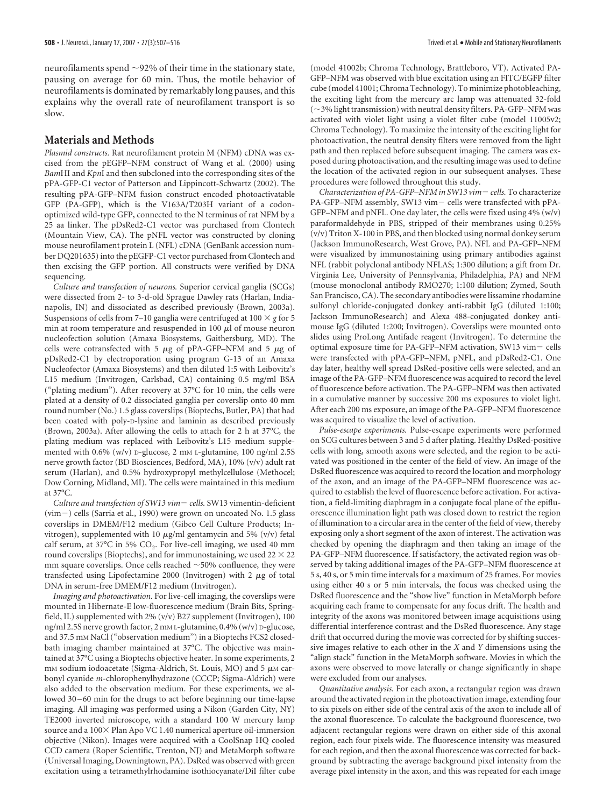neurofilaments spend  ${\sim}$ 92% of their time in the stationary state, pausing on average for 60 min. Thus, the motile behavior of neurofilaments is dominated by remarkably long pauses, and this explains why the overall rate of neurofilament transport is so slow.

# **Materials and Methods**

*Plasmid constructs.* Rat neurofilament protein M (NFM) cDNA was excised from the pEGFP–NFM construct of Wang et al. (2000) using *Bam*HI and *Kpn*I and then subcloned into the corresponding sites of the pPA-GFP-C1 vector of Patterson and Lippincott-Schwartz (2002). The resulting pPA-GFP–NFM fusion construct encoded photoactivatable GFP (PA-GFP), which is the V163A/T203H variant of a codonoptimized wild-type GFP, connected to the N terminus of rat NFM by a 25 aa linker. The pDsRed2-C1 vector was purchased from Clontech (Mountain View, CA). The pNFL vector was constructed by cloning mouse neurofilament protein L (NFL) cDNA (GenBank accession number DQ201635) into the pEGFP-C1 vector purchased from Clontech and then excising the GFP portion. All constructs were verified by DNA sequencing.

*Culture and transfection of neurons.* Superior cervical ganglia (SCGs) were dissected from 2- to 3-d-old Sprague Dawley rats (Harlan, Indianapolis, IN) and dissociated as described previously (Brown, 2003a). Suspensions of cells from 7–10 ganglia were centrifuged at 100  $\times$   $g$  for 5 min at room temperature and resuspended in 100  $\mu$ l of mouse neuron nucleofection solution (Amaxa Biosystems, Gaithersburg, MD). The cells were cotransfected with 5  $\mu$ g of pPA-GFP–NFM and 5  $\mu$ g of pDsRed2-C1 by electroporation using program G-13 of an Amaxa Nucleofector (Amaxa Biosystems) and then diluted 1:5 with Leibovitz's L15 medium (Invitrogen, Carlsbad, CA) containing 0.5 mg/ml BSA ("plating medium"). After recovery at 37°C for 10 min, the cells were plated at a density of 0.2 dissociated ganglia per coverslip onto 40 mm round number (No.) 1.5 glass coverslips (Bioptechs, Butler, PA) that had been coated with poly-D-lysine and laminin as described previously (Brown, 2003a). After allowing the cells to attach for 2 h at 37°C, the plating medium was replaced with Leibovitz's L15 medium supplemented with  $0.6\%$  (w/v) p-glucose, 2 mM L-glutamine, 100 ng/ml 2.5S nerve growth factor (BD Biosciences, Bedford, MA), 10% (v/v) adult rat serum (Harlan), and 0.5% hydroxypropyl methylcellulose (Methocel; Dow Corning, Midland, MI). The cells were maintained in this medium at 37°C.

Culture and transfection of SW13 vim- cells. SW13 vimentin-deficient  $(vim-)$  cells (Sarria et al., 1990) were grown on uncoated No. 1.5 glass coverslips in DMEM/F12 medium (Gibco Cell Culture Products; Invitrogen), supplemented with 10  $\mu$ g/ml gentamycin and 5% (v/v) fetal calf serum, at  $37^{\circ}$ C in 5% CO<sub>2</sub>. For live-cell imaging, we used 40 mm round coverslips (Bioptechs), and for immunostaining, we used  $22 \times 22$ mm square coverslips. Once cells reached  ${\sim}50\%$  confluence, they were transfected using Lipofectamine 2000 (Invitrogen) with 2  $\mu$ g of total DNA in serum-free DMEM/F12 medium (Invitrogen).

*Imaging and photoactivation.* For live-cell imaging, the coverslips were mounted in Hibernate-E low-fluorescence medium (Brain Bits, Springfield, IL) supplemented with 2% (v/v) B27 supplement (Invitrogen), 100 ng/ml 2.5S nerve growth factor, 2 mm L-glutamine, 0.4% (w/v) D-glucose, and 37.5 mM NaCl ("observation medium") in a Bioptechs FCS2 closedbath imaging chamber maintained at 37°C. The objective was maintained at 37°C using a Bioptechs objective heater. In some experiments, 2  $mm$  sodium iodoacetate (Sigma-Aldrich, St. Louis, MO) and 5  $\mu$ M carbonyl cyanide *m*-chlorophenylhydrazone (CCCP; Sigma-Aldrich) were also added to the observation medium. For these experiments, we allowed 30 – 60 min for the drugs to act before beginning our time-lapse imaging. All imaging was performed using a Nikon (Garden City, NY) TE2000 inverted microscope, with a standard 100 W mercury lamp source and a  $100\times$  Plan Apo VC 1.40 numerical aperture oil-immersion objective (Nikon). Images were acquired with a CoolSnap HQ cooled CCD camera (Roper Scientific, Trenton, NJ) and MetaMorph software (Universal Imaging, Downingtown, PA). DsRed was observed with green excitation using a tetramethylrhodamine isothiocyanate/DiI filter cube

(model 41002b; Chroma Technology, Brattleboro, VT). Activated PA-GFP–NFM was observed with blue excitation using an FITC/EGFP filter cube (model 41001; Chroma Technology). To minimize photobleaching, the exciting light from the mercury arc lamp was attenuated 32-fold  $(\sim$  3% light transmission) with neutral density filters. PA-GFP–NFM was activated with violet light using a violet filter cube (model 11005v2; Chroma Technology). To maximize the intensity of the exciting light for photoactivation, the neutral density filters were removed from the light path and then replaced before subsequent imaging. The camera was exposed during photoactivation, and the resulting image was used to define the location of the activated region in our subsequent analyses. These procedures were followed throughout this study.

*Characterization of PA-GFP–NFM in SW13 vim* - cells. To characterize PA-GFP–NFM assembly, SW13 vim- cells were transfected with pPA-GFP–NFM and pNFL. One day later, the cells were fixed using 4% (w/v) paraformaldehyde in PBS, stripped of their membranes using 0.25% (v/v) Triton X-100 in PBS, and then blocked using normal donkey serum (Jackson ImmunoResearch, West Grove, PA). NFL and PA-GFP–NFM were visualized by immunostaining using primary antibodies against NFL (rabbit polyclonal antibody NFLAS; 1:300 dilution; a gift from Dr. Virginia Lee, University of Pennsylvania, Philadelphia, PA) and NFM (mouse monoclonal antibody RMO270; 1:100 dilution; Zymed, South San Francisco, CA). The secondary antibodies were lissamine rhodamine sulfonyl chloride-conjugated donkey anti-rabbit IgG (diluted 1:100; Jackson ImmunoResearch) and Alexa 488-conjugated donkey antimouse IgG (diluted 1:200; Invitrogen). Coverslips were mounted onto slides using ProLong Antifade reagent (Invitrogen). To determine the optimal exposure time for PA-GFP–NFM activation, SW13 vim- cells were transfected with pPA-GFP–NFM, pNFL, and pDsRed2-C1. One day later, healthy well spread DsRed-positive cells were selected, and an image of the PA-GFP–NFM fluorescence was acquired to record the level of fluorescence before activation. The PA-GFP–NFM was then activated in a cumulative manner by successive 200 ms exposures to violet light. After each 200 ms exposure, an image of the PA-GFP–NFM fluorescence was acquired to visualize the level of activation.

*Pulse-escape experiments.* Pulse-escape experiments were performed on SCG cultures between 3 and 5 d after plating. Healthy DsRed-positive cells with long, smooth axons were selected, and the region to be activated was positioned in the center of the field of view. An image of the DsRed fluorescence was acquired to record the location and morphology of the axon, and an image of the PA-GFP–NFM fluorescence was acquired to establish the level of fluorescence before activation. For activation, a field-limiting diaphragm in a conjugate focal plane of the epifluorescence illumination light path was closed down to restrict the region of illumination to a circular area in the center of the field of view, thereby exposing only a short segment of the axon of interest. The activation was checked by opening the diaphragm and then taking an image of the PA-GFP–NFM fluorescence. If satisfactory, the activated region was observed by taking additional images of the PA-GFP–NFM fluorescence at 5 s, 40 s, or 5 min time intervals for a maximum of 25 frames. For movies using either 40 s or 5 min intervals, the focus was checked using the DsRed fluorescence and the "show live" function in MetaMorph before acquiring each frame to compensate for any focus drift. The health and integrity of the axons was monitored between image acquisitions using differential interference contrast and the DsRed fluorescence. Any stage drift that occurred during the movie was corrected for by shifting successive images relative to each other in the *X* and *Y* dimensions using the "align stack" function in the MetaMorph software. Movies in which the axons were observed to move laterally or change significantly in shape were excluded from our analyses.

*Quantitative analysis.* For each axon, a rectangular region was drawn around the activated region in the photoactivation image, extending four to six pixels on either side of the central axis of the axon to include all of the axonal fluorescence. To calculate the background fluorescence, two adjacent rectangular regions were drawn on either side of this axonal region, each four pixels wide. The fluorescence intensity was measured for each region, and then the axonal fluorescence was corrected for background by subtracting the average background pixel intensity from the average pixel intensity in the axon, and this was repeated for each image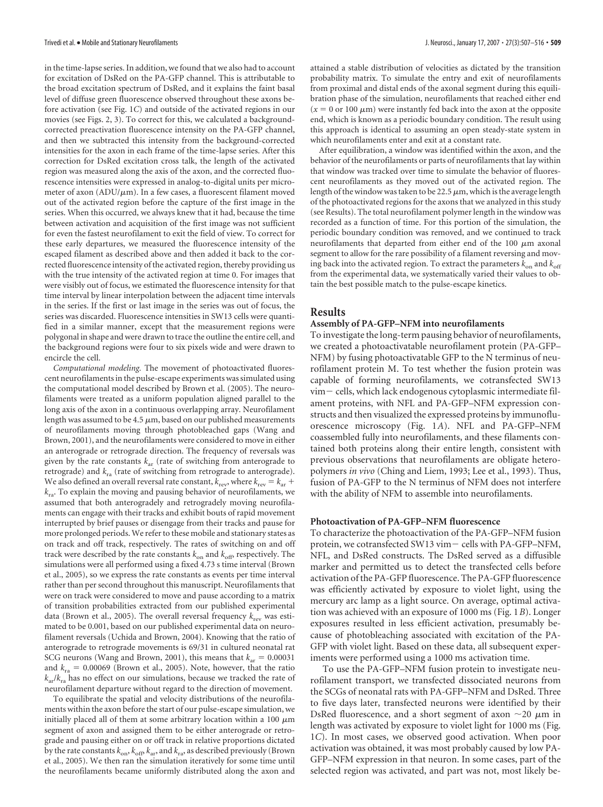in the time-lapse series. In addition, we found that we also had to account for excitation of DsRed on the PA-GFP channel. This is attributable to the broad excitation spectrum of DsRed, and it explains the faint basal level of diffuse green fluorescence observed throughout these axons before activation (see Fig. 1*C*) and outside of the activated regions in our movies (see Figs. 2, 3). To correct for this, we calculated a backgroundcorrected preactivation fluorescence intensity on the PA-GFP channel, and then we subtracted this intensity from the background-corrected intensities for the axon in each frame of the time-lapse series. After this correction for DsRed excitation cross talk, the length of the activated region was measured along the axis of the axon, and the corrected fluorescence intensities were expressed in analog-to-digital units per micrometer of axon ( $ADU/\mu m$ ). In a few cases, a fluorescent filament moved out of the activated region before the capture of the first image in the series. When this occurred, we always knew that it had, because the time between activation and acquisition of the first image was not sufficient for even the fastest neurofilament to exit the field of view. To correct for these early departures, we measured the fluorescence intensity of the escaped filament as described above and then added it back to the corrected fluorescence intensity of the activated region, thereby providing us with the true intensity of the activated region at time 0. For images that were visibly out of focus, we estimated the fluorescence intensity for that time interval by linear interpolation between the adjacent time intervals in the series. If the first or last image in the series was out of focus, the series was discarded. Fluorescence intensities in SW13 cells were quantified in a similar manner, except that the measurement regions were polygonal in shape and were drawn to trace the outline the entire cell, and the background regions were four to six pixels wide and were drawn to encircle the cell.

*Computational modeling.* The movement of photoactivated fluorescent neurofilaments in the pulse-escape experiments was simulated using the computational model described by Brown et al. (2005). The neurofilaments were treated as a uniform population aligned parallel to the long axis of the axon in a continuous overlapping array. Neurofilament length was assumed to be 4.5  $\mu$ m, based on our published measurements of neurofilaments moving through photobleached gaps (Wang and Brown, 2001), and the neurofilaments were considered to move in either an anterograde or retrograde direction. The frequency of reversals was given by the rate constants *k*ar (rate of switching from anterograde to retrograde) and  $k_{ra}$  (rate of switching from retrograde to anterograde). We also defined an overall reversal rate constant,  $k_{\text{rev}}$ , where  $k_{\text{rev}} = k_{\text{ar}} + k_{\text{rev}}$  $k_{\text{ra}}$ . To explain the moving and pausing behavior of neurofilaments, we assumed that both anterogradely and retrogradely moving neurofilaments can engage with their tracks and exhibit bouts of rapid movement interrupted by brief pauses or disengage from their tracks and pause for more prolonged periods. We refer to these mobile and stationary states as on track and off track, respectively. The rates of switching on and off track were described by the rate constants  $k_{\text{on}}$  and  $k_{\text{off}}$ , respectively. The simulations were all performed using a fixed 4.73 s time interval (Brown et al., 2005), so we express the rate constants as events per time interval rather than per second throughout this manuscript. Neurofilaments that were on track were considered to move and pause according to a matrix of transition probabilities extracted from our published experimental data (Brown et al., 2005). The overall reversal frequency  $k_{\text{rev}}$  was estimated to be 0.001, based on our published experimental data on neurofilament reversals (Uchida and Brown, 2004). Knowing that the ratio of anterograde to retrograde movements is 69/31 in cultured neonatal rat SCG neurons (Wang and Brown, 2001), this means that  $k_{ar} = 0.00031$ and  $k_{ra} = 0.00069$  (Brown et al., 2005). Note, however, that the ratio *k*ar/*k*ra has no effect on our simulations, because we tracked the rate of neurofilament departure without regard to the direction of movement.

To equilibrate the spatial and velocity distributions of the neurofilaments within the axon before the start of our pulse-escape simulation, we initially placed all of them at some arbitrary location within a 100  $\mu$ m segment of axon and assigned them to be either anterograde or retrograde and pausing either on or off track in relative proportions dictated by the rate constants  $k_{on}$ ,  $k_{off}$ ,  $k_{ar}$ , and  $k_{ra}$ , as described previously (Brown et al., 2005). We then ran the simulation iteratively for some time until the neurofilaments became uniformly distributed along the axon and

attained a stable distribution of velocities as dictated by the transition probability matrix. To simulate the entry and exit of neurofilaments from proximal and distal ends of the axonal segment during this equilibration phase of the simulation, neurofilaments that reached either end  $(x = 0 \text{ or } 100 \mu\text{m})$  were instantly fed back into the axon at the opposite end, which is known as a periodic boundary condition. The result using this approach is identical to assuming an open steady-state system in which neurofilaments enter and exit at a constant rate.

After equilibration, a window was identified within the axon, and the behavior of the neurofilaments or parts of neurofilaments that lay within that window was tracked over time to simulate the behavior of fluorescent neurofilaments as they moved out of the activated region. The length of the window was taken to be 22.5  $\mu$ m, which is the average length of the photoactivated regions for the axons that we analyzed in this study (see Results). The total neurofilament polymer length in the window was recorded as a function of time. For this portion of the simulation, the periodic boundary condition was removed, and we continued to track neurofilaments that departed from either end of the 100  $\mu$ m axonal segment to allow for the rare possibility of a filament reversing and moving back into the activated region. To extract the parameters  $k_{on}$  and  $k_{off}$ from the experimental data, we systematically varied their values to obtain the best possible match to the pulse-escape kinetics.

## **Results**

#### **Assembly of PA-GFP–NFM into neurofilaments**

To investigate the long-term pausing behavior of neurofilaments, we created a photoactivatable neurofilament protein (PA-GFP– NFM) by fusing photoactivatable GFP to the N terminus of neurofilament protein M. To test whether the fusion protein was capable of forming neurofilaments, we cotransfected SW13 vim-cells, which lack endogenous cytoplasmic intermediate filament proteins, with NFL and PA-GFP–NFM expression constructs and then visualized the expressed proteins by immunofluorescence microscopy (Fig. 1*A*). NFL and PA-GFP–NFM coassembled fully into neurofilaments, and these filaments contained both proteins along their entire length, consistent with previous observations that neurofilaments are obligate heteropolymers *in vivo* (Ching and Liem, 1993; Lee et al., 1993). Thus, fusion of PA-GFP to the N terminus of NFM does not interfere with the ability of NFM to assemble into neurofilaments.

#### **Photoactivation of PA-GFP–NFM fluorescence**

To characterize the photoactivation of the PA-GFP–NFM fusion protein, we cotransfected SW13 vim-cells with PA-GFP-NFM, NFL, and DsRed constructs. The DsRed served as a diffusible marker and permitted us to detect the transfected cells before activation of the PA-GFP fluorescence. The PA-GFP fluorescence was efficiently activated by exposure to violet light, using the mercury arc lamp as a light source. On average, optimal activation was achieved with an exposure of 1000 ms (Fig. 1*B*). Longer exposures resulted in less efficient activation, presumably because of photobleaching associated with excitation of the PA-GFP with violet light. Based on these data, all subsequent experiments were performed using a 1000 ms activation time.

To use the PA-GFP–NFM fusion protein to investigate neurofilament transport, we transfected dissociated neurons from the SCGs of neonatal rats with PA-GFP–NFM and DsRed. Three to five days later, transfected neurons were identified by their DsRed fluorescence, and a short segment of axon  ${\sim}20$   ${\rm \mu m}$  in length was activated by exposure to violet light for 1000 ms (Fig. 1*C*). In most cases, we observed good activation. When poor activation was obtained, it was most probably caused by low PA-GFP–NFM expression in that neuron. In some cases, part of the selected region was activated, and part was not, most likely be-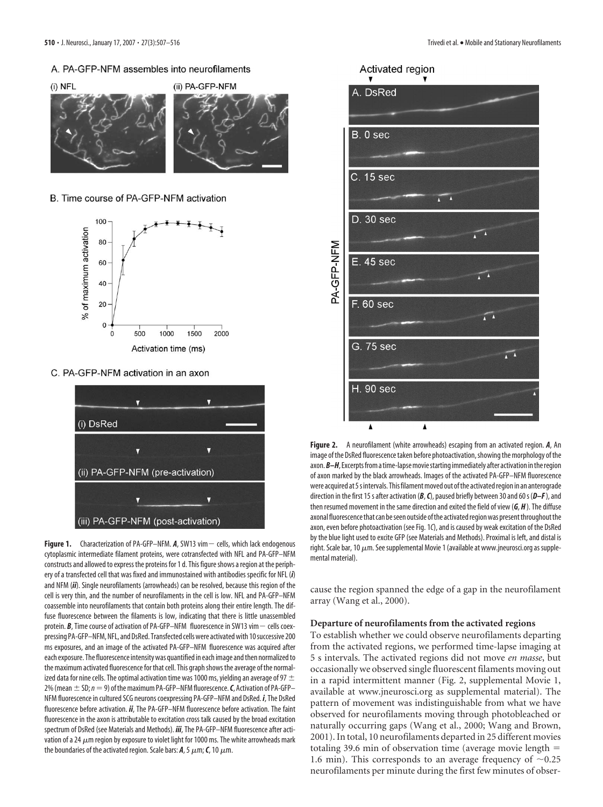



B. Time course of PA-GFP-NFM activation



C. PA-GFP-NFM activation in an axon



**Figure 1.** Characterization of PA-GFP-NFM. *A*, SW13 vim - cells, which lack endogenous cytoplasmic intermediate filament proteins, were cotransfected with NFL and PA-GFP–NFM constructs and allowed to express the proteins for 1 d. This figure shows a region at the periphery of a transfected cell that was fixed and immunostained with antibodies specific for NFL (*i*) and NFM (*ii*). Single neurofilaments (arrowheads) can be resolved, because this region of the cell is very thin, and the number of neurofilaments in the cell is low. NFL and PA-GFP–NFM coassemble into neurofilaments that contain both proteins along their entire length. The diffuse fluorescence between the filaments is low, indicating that there is little unassembled protein. **B**, Time course of activation of PA-GFP–NFM fluorescence in SW13 vim - cells coexpressing PA-GFP-NFM, NFL, and DsRed. Transfected cells were activated with 10 successive 200 ms exposures, and an image of the activated PA-GFP–NFM fluorescence was acquired after each exposure. The fluorescence intensity was quantified in each image and then normalized to the maximum activated fluorescence for that cell. This graph shows the average of the normalized data for nine cells. The optimal activation time was 1000 ms, yielding an average of 97  $\pm$ 2% (mean  $\pm$  SD;  $n=9$ ) of the maximum PA-GFP–NFM fluorescence. *C*, Activation of PA-GFP– NFM fluorescence in cultured SCG neurons coexpressing PA-GFP–NFM and DsRed. *i*, The DsRed fluorescence before activation. *ii*, The PA-GFP–NFM fluorescence before activation. The faint fluorescence in the axon is attributable to excitation cross talk caused by the broad excitation spectrum of DsRed (see Materials and Methods). *iii*, The PA-GFP–NFM fluorescence after activation of a 24  $\mu$ m region by exposure to violet light for 1000 ms. The white arrowheads mark the boundaries of the activated region. Scale bars:  $A$ , 5  $\mu$ m; *C*, 10  $\mu$ m.



**Figure 2.** A neurofilament (white arrowheads) escaping from an activated region. *A*, An image of the DsRed fluorescence taken before photoactivation, showing the morphology of the axon. **B-H**, Excerpts from a time-lapse movie starting immediately after activation in the region of axon marked by the black arrowheads. Images of the activated PA-GFP–NFM fluorescence were acquired at 5 s intervals. This filament moved out of the activated region in an anterograde direction in the first 15s after activation (*B*,*C*), paused briefly between 30 and 60s (*D–F*), and then resumed movement in the same direction and exited the field of view (*G*, *H*). The diffuse axonal fluorescence that can be seen outside of the activated region was present throughout the axon, even before photoactivation (see Fig. 1*C*), and is caused by weak excitation of the DsRed by the blue light used to excite GFP (see Materials and Methods). Proximal is left, and distal is right. Scale bar, 10  $\mu$ m. See supplemental Movie 1 (available at www.jneurosci.org as supplemental material).

cause the region spanned the edge of a gap in the neurofilament array (Wang et al., 2000).

## **Departure of neurofilaments from the activated regions**

To establish whether we could observe neurofilaments departing from the activated regions, we performed time-lapse imaging at 5 s intervals. The activated regions did not move *en masse*, but occasionally we observed single fluorescent filaments moving out in a rapid intermittent manner (Fig. 2, supplemental Movie 1, available at www.jneurosci.org as supplemental material). The pattern of movement was indistinguishable from what we have observed for neurofilaments moving through photobleached or naturally occurring gaps (Wang et al., 2000; Wang and Brown, 2001). In total, 10 neurofilaments departed in 25 different movies totaling 39.6 min of observation time (average movie length  $=$ 1.6 min). This corresponds to an average frequency of  $\sim$ 0.25 neurofilaments per minute during the first few minutes of obser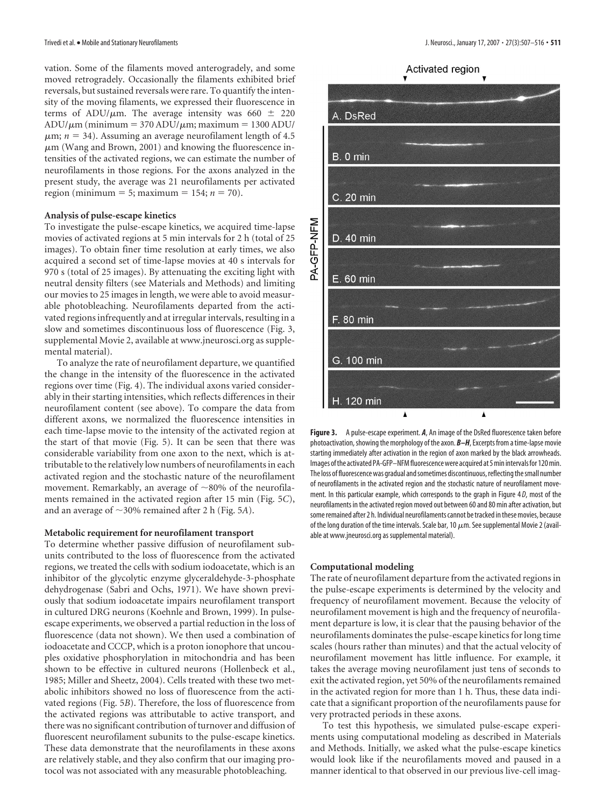vation. Some of the filaments moved anterogradely, and some moved retrogradely. Occasionally the filaments exhibited brief reversals, but sustained reversals were rare. To quantify the intensity of the moving filaments, we expressed their fluorescence in terms of ADU/ $\mu$ m. The average intensity was 660  $\pm$  220  $ADU/\mu$ m (minimum = 370 ADU/ $\mu$ m; maximum = 1300 ADU/  $\mu$ m;  $n = 34$ ). Assuming an average neurofilament length of 4.5  $\mu$ m (Wang and Brown, 2001) and knowing the fluorescence intensities of the activated regions, we can estimate the number of neurofilaments in those regions. For the axons analyzed in the present study, the average was 21 neurofilaments per activated region (minimum = 5; maximum = 154;  $n = 70$ ).

#### **Analysis of pulse-escape kinetics**

To investigate the pulse-escape kinetics, we acquired time-lapse movies of activated regions at 5 min intervals for 2 h (total of 25 images). To obtain finer time resolution at early times, we also acquired a second set of time-lapse movies at 40 s intervals for 970 s (total of 25 images). By attenuating the exciting light with neutral density filters (see Materials and Methods) and limiting our movies to 25 images in length, we were able to avoid measurable photobleaching. Neurofilaments departed from the activated regions infrequently and at irregular intervals, resulting in a slow and sometimes discontinuous loss of fluorescence (Fig. 3, supplemental Movie 2, available at www.jneurosci.org as supplemental material).

To analyze the rate of neurofilament departure, we quantified the change in the intensity of the fluorescence in the activated regions over time (Fig. 4). The individual axons varied considerably in their starting intensities, which reflects differences in their neurofilament content (see above). To compare the data from different axons, we normalized the fluorescence intensities in each time-lapse movie to the intensity of the activated region at the start of that movie (Fig. 5). It can be seen that there was considerable variability from one axon to the next, which is attributable to the relatively low numbers of neurofilaments in each activated region and the stochastic nature of the neurofilament movement. Remarkably, an average of  $\sim$ 80% of the neurofilaments remained in the activated region after 15 min (Fig. 5*C*), and an average of  $\sim$ 30% remained after 2 h (Fig. 5*A*).

#### **Metabolic requirement for neurofilament transport**

To determine whether passive diffusion of neurofilament subunits contributed to the loss of fluorescence from the activated regions, we treated the cells with sodium iodoacetate, which is an inhibitor of the glycolytic enzyme glyceraldehyde-3-phosphate dehydrogenase (Sabri and Ochs, 1971). We have shown previously that sodium iodoacetate impairs neurofilament transport in cultured DRG neurons (Koehnle and Brown, 1999). In pulseescape experiments, we observed a partial reduction in the loss of fluorescence (data not shown). We then used a combination of iodoacetate and CCCP, which is a proton ionophore that uncouples oxidative phosphorylation in mitochondria and has been shown to be effective in cultured neurons (Hollenbeck et al., 1985; Miller and Sheetz, 2004). Cells treated with these two metabolic inhibitors showed no loss of fluorescence from the activated regions (Fig. 5*B*). Therefore, the loss of fluorescence from the activated regions was attributable to active transport, and there was no significant contribution of turnover and diffusion of fluorescent neurofilament subunits to the pulse-escape kinetics. These data demonstrate that the neurofilaments in these axons are relatively stable, and they also confirm that our imaging protocol was not associated with any measurable photobleaching.



**Figure 3.** A pulse-escape experiment. *A*, An image of the DsRed fluorescence taken before photoactivation, showing the morphology of the axon. **B–H**, Excerpts from a time-lapse movie starting immediately after activation in the region of axon marked by the black arrowheads. Images ofthe activated PA-GFP–NFMfluorescencewere acquired at 5min intervalsfor 120min. The loss of fluorescence was gradual and sometimes discontinuous, reflecting the small number of neurofilaments in the activated region and the stochastic nature of neurofilament movement. In this particular example, which corresponds to the graph in Figure 4 *D*, most of the neurofilaments in the activated region moved out between 60 and 80 min after activation, but some remained after 2 h. Individual neurofilaments cannot be tracked in these movies, because of the long duration of the time intervals. Scale bar, 10  $\mu$ m. See supplemental Movie 2 (available at www.jneurosci.org as supplemental material).

## **Computational modeling**

The rate of neurofilament departure from the activated regions in the pulse-escape experiments is determined by the velocity and frequency of neurofilament movement. Because the velocity of neurofilament movement is high and the frequency of neurofilament departure is low, it is clear that the pausing behavior of the neurofilaments dominates the pulse-escape kinetics for long time scales (hours rather than minutes) and that the actual velocity of neurofilament movement has little influence. For example, it takes the average moving neurofilament just tens of seconds to exit the activated region, yet 50% of the neurofilaments remained in the activated region for more than 1 h. Thus, these data indicate that a significant proportion of the neurofilaments pause for very protracted periods in these axons.

To test this hypothesis, we simulated pulse-escape experiments using computational modeling as described in Materials and Methods. Initially, we asked what the pulse-escape kinetics would look like if the neurofilaments moved and paused in a manner identical to that observed in our previous live-cell imag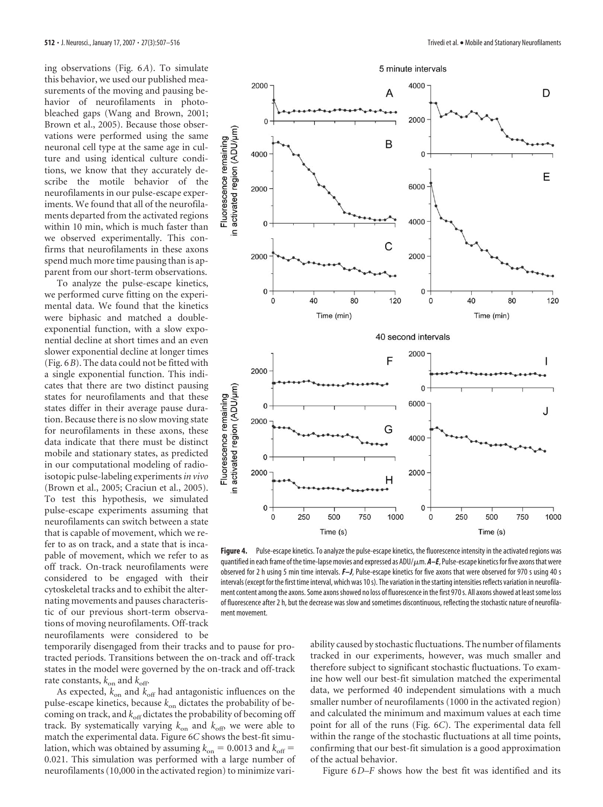ing observations (Fig. 6*A*). To simulate this behavior, we used our published measurements of the moving and pausing behavior of neurofilaments in photobleached gaps (Wang and Brown, 2001; Brown et al., 2005). Because those observations were performed using the same neuronal cell type at the same age in culture and using identical culture conditions, we know that they accurately describe the motile behavior of the neurofilaments in our pulse-escape experiments. We found that all of the neurofilaments departed from the activated regions within 10 min, which is much faster than we observed experimentally. This confirms that neurofilaments in these axons spend much more time pausing than is apparent from our short-term observations.

To analyze the pulse-escape kinetics, we performed curve fitting on the experimental data. We found that the kinetics were biphasic and matched a doubleexponential function, with a slow exponential decline at short times and an even slower exponential decline at longer times (Fig. 6*B*). The data could not be fitted with a single exponential function. This indicates that there are two distinct pausing states for neurofilaments and that these states differ in their average pause duration. Because there is no slow moving state for neurofilaments in these axons, these data indicate that there must be distinct mobile and stationary states, as predicted in our computational modeling of radioisotopic pulse-labeling experiments*in vivo* (Brown et al., 2005; Craciun et al., 2005). To test this hypothesis, we simulated pulse-escape experiments assuming that neurofilaments can switch between a state that is capable of movement, which we refer to as on track, and a state that is incapable of movement, which we refer to as off track. On-track neurofilaments were considered to be engaged with their cytoskeletal tracks and to exhibit the alternating movements and pauses characteristic of our previous short-term observations of moving neurofilaments. Off-track neurofilaments were considered to be



**Figure 4.** Pulse-escape kinetics. To analyze the pulse-escape kinetics, the fluorescence intensity in the activated regions was quantified in each frame of the time-lapse movies and expressed as ADU/ $\mu$ m. **A–E**, Pulse-escape kinetics for five axons that were observed for 2 h using 5 min time intervals. *F–J*, Pulse-escape kinetics for five axons that were observed for 970 s using 40 s intervals (except for the first time interval, which was 10s). The variation in thestarting intensities reflects variation in neurofilament content among the axons. Some axonsshowed no loss of fluorescence in the first 970s. All axonsshowed at leastsome loss of fluorescence after 2 h, but the decrease was slow and sometimes discontinuous, reflecting the stochastic nature of neurofilament movement.

temporarily disengaged from their tracks and to pause for protracted periods. Transitions between the on-track and off-track states in the model were governed by the on-track and off-track rate constants,  $k_{on}$  and  $k_{off}$ .

As expected,  $k_{on}$  and  $k_{off}$  had antagonistic influences on the pulse-escape kinetics, because  $k_{on}$  dictates the probability of becoming on track, and  $k_{\text{off}}$  dictates the probability of becoming off track. By systematically varying  $k_{on}$  and  $k_{off}$ , we were able to match the experimental data. Figure 6*C* shows the best-fit simulation, which was obtained by assuming  $k_{on} = 0.0013$  and  $k_{off} =$ 0.021. This simulation was performed with a large number of neurofilaments (10,000 in the activated region) to minimize variability caused by stochastic fluctuations. The number of filaments tracked in our experiments, however, was much smaller and therefore subject to significant stochastic fluctuations. To examine how well our best-fit simulation matched the experimental data, we performed 40 independent simulations with a much smaller number of neurofilaments (1000 in the activated region) and calculated the minimum and maximum values at each time point for all of the runs (Fig. 6*C*). The experimental data fell within the range of the stochastic fluctuations at all time points, confirming that our best-fit simulation is a good approximation of the actual behavior.

Figure 6*D–F* shows how the best fit was identified and its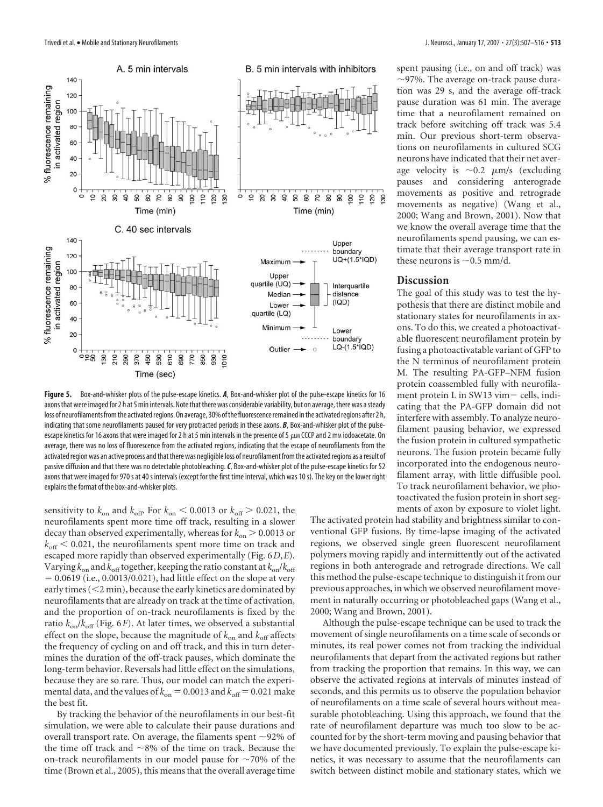

**Figure 5.** Box-and-whisker plots of the pulse-escape kinetics. *A*, Box-and-whisker plot of the pulse-escape kinetics for 16 axons that were imaged for 2 h at 5 min intervals. Note that there was considerable variability, but on average, there was a steady loss of neurofilaments from the activated regions. On average, 30% of the fluorescence remained in the activated regions after 2 h, indicating that some neurofilaments paused for very protracted periods in these axons. *B*, Box-and-whisker plot of the pulseescape kinetics for 16 axons that were imaged for 2 h at 5 min intervals in the presence of 5  $\mu$ M CCCP and 2 mM iodoacetate. On average, there was no loss of fluorescence from the activated regions, indicating that the escape of neurofilaments from the activated region was an active process and that there was negligible loss of neurofilament from the activated regions as a result of passive diffusion and that there was no detectable photobleaching.*C*, Box-and-whisker plot of the pulse-escape kinetics for 52 axons that were imaged for 970 s at 40 s intervals (except for the first time interval, which was 10 s). The key on the lower right explains the format of the box-and-whisker plots.

sensitivity to  $k_{on}$  and  $k_{off}$ . For  $k_{on} < 0.0013$  or  $k_{off} > 0.021$ , the neurofilaments spent more time off track, resulting in a slower decay than observed experimentally, whereas for  $k_{on} > 0.0013$  or  $k_{\text{off}}$  < 0.021, the neurofilaments spent more time on track and escaped more rapidly than observed experimentally (Fig. 6*D*,*E*). Varying  $k_{on}$  and  $k_{off}$  together, keeping the ratio constant at  $k_{on}/k_{off}$  $= 0.0619$  (i.e., 0.0013/0.021), had little effect on the slope at very early times (<2 min), because the early kinetics are dominated by neurofilaments that are already on track at the time of activation, and the proportion of on-track neurofilaments is fixed by the ratio  $k_{on}/k_{off}$  (Fig. 6*F*). At later times, we observed a substantial effect on the slope, because the magnitude of  $k_{on}$  and  $k_{off}$  affects the frequency of cycling on and off track, and this in turn determines the duration of the off-track pauses, which dominate the long-term behavior. Reversals had little effect on the simulations, because they are so rare. Thus, our model can match the experimental data, and the values of  $k_{on} = 0.0013$  and  $k_{off} = 0.021$  make the best fit.

By tracking the behavior of the neurofilaments in our best-fit simulation, we were able to calculate their pause durations and overall transport rate. On average, the filaments spent  $\sim$ 92% of the time off track and  $\sim$ 8% of the time on track. Because the on-track neurofilaments in our model pause for  $\sim$ 70% of the time (Brown et al., 2005), this means that the overall average time

spent pausing (i.e., on and off track) was -97%. The average on-track pause duration was 29 s, and the average off-track pause duration was 61 min. The average time that a neurofilament remained on track before switching off track was 5.4 min. Our previous short-term observations on neurofilaments in cultured SCG neurons have indicated that their net average velocity is  ${\sim}0.2$   ${\mu}$ m/s (excluding pauses and considering anterograde movements as positive and retrograde movements as negative) (Wang et al., 2000; Wang and Brown, 2001). Now that we know the overall average time that the neurofilaments spend pausing, we can estimate that their average transport rate in these neurons is  $\sim$  0.5 mm/d.

#### **Discussion**

The goal of this study was to test the hypothesis that there are distinct mobile and stationary states for neurofilaments in axons. To do this, we created a photoactivatable fluorescent neurofilament protein by fusing a photoactivatable variant of GFP to the N terminus of neurofilament protein M. The resulting PA-GFP–NFM fusion protein coassembled fully with neurofilament protein L in SW13 vim  $-$  cells, indicating that the PA-GFP domain did not interfere with assembly. To analyze neurofilament pausing behavior, we expressed the fusion protein in cultured sympathetic neurons. The fusion protein became fully incorporated into the endogenous neurofilament array, with little diffusible pool. To track neurofilament behavior, we photoactivated the fusion protein in short segments of axon by exposure to violet light.

The activated protein had stability and brightness similar to conventional GFP fusions. By time-lapse imaging of the activated regions, we observed single green fluorescent neurofilament polymers moving rapidly and intermittently out of the activated regions in both anterograde and retrograde directions. We call this method the pulse-escape technique to distinguish it from our previous approaches, in which we observed neurofilament movement in naturally occurring or photobleached gaps (Wang et al., 2000; Wang and Brown, 2001).

Although the pulse-escape technique can be used to track the movement of single neurofilaments on a time scale of seconds or minutes, its real power comes not from tracking the individual neurofilaments that depart from the activated regions but rather from tracking the proportion that remains. In this way, we can observe the activated regions at intervals of minutes instead of seconds, and this permits us to observe the population behavior of neurofilaments on a time scale of several hours without measurable photobleaching. Using this approach, we found that the rate of neurofilament departure was much too slow to be accounted for by the short-term moving and pausing behavior that we have documented previously. To explain the pulse-escape kinetics, it was necessary to assume that the neurofilaments can switch between distinct mobile and stationary states, which we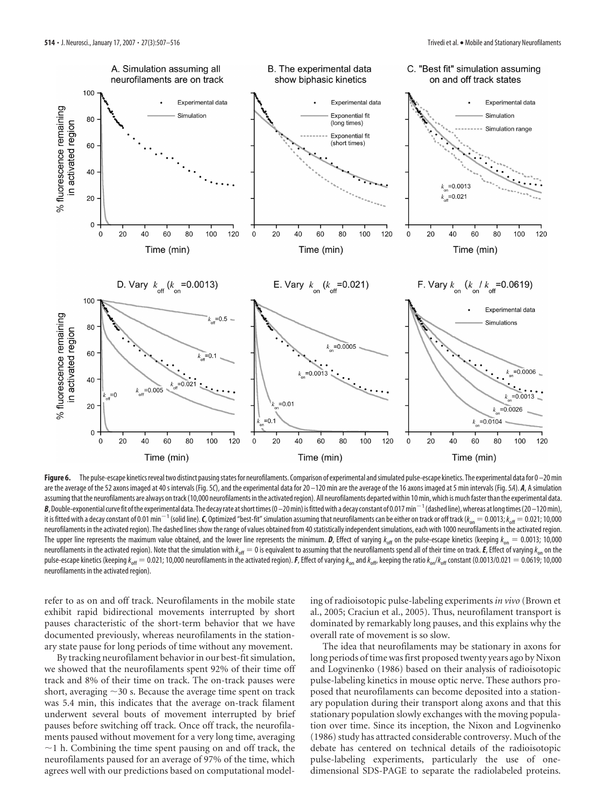A. Simulation assuming all





Figure 6. The pulse-escape kinetics reveal two distinct pausing states for neurofilaments. Comparison of experimental and simulated pulse-escape kinetics. The experimental data for 0-20 min are the average of the 52 axons imaged at 40 s intervals (Fig. 5*C*), and the experimental data for 20 –120 min are the average of the 16 axons imaged at 5 min intervals (Fig. 5*A*). *A*, A simulation assuming that the neurofilaments are always on track (10,000 neurofilaments in the activated region). All neurofilaments departed within 10 min, which is much faster than the experimental data. B, Double-exponential curve fit of the experimental data. The decay rate at short times (0 –20 min) is fitted with a decay constant of 0.017 min<sup>-1</sup> (dashed line), whereas at long times (20 –120 min), it is fitted with a decay constant of 0.01 min $^{-1}$  (solid line).  $\bm{\mathsf{C}}$ , Optimized "best-fit" simulation assuming that neurofilaments can be either on track or off track ( $k_\mathsf{on} = 0.0013; k_\mathsf{off} = 0.021;$  10,000 neurofilaments in the activated region). The dashed lines show the range of values obtained from 40 statistically independent simulations, each with 1000 neurofilaments in the activated region. The upper line represents the maximum value obtained, and the lower line represents the minimum. *D*, Effect of varying  $k_{\text{off}}$  on the pulse-escape kinetics (keeping  $k_{\text{on}} = 0.0013$ ; 10,000 neurofilaments in the activated region). Note that the simulation with  $k_{off} = 0$  is equivalent to assuming that the neurofilaments spend all of their time on track. **E**, Effect of varying  $k_{on}$  on the pulse-escape kinetics (keeping  $k_{\text{off}} = 0.021$ ; 10,000 neurofilaments in the activated region). F, Effect of varying  $k_{\text{on}}$  and  $k_{\text{off}}$ , keeping the ratio  $k_{\text{on}}/k_{\text{off}}$  constant (0.0013/0.021 = 0.0619; 10,000 neurofilaments in the activated region).

refer to as on and off track. Neurofilaments in the mobile state exhibit rapid bidirectional movements interrupted by short pauses characteristic of the short-term behavior that we have documented previously, whereas neurofilaments in the stationary state pause for long periods of time without any movement.

By tracking neurofilament behavior in our best-fit simulation, we showed that the neurofilaments spent 92% of their time off track and 8% of their time on track. The on-track pauses were short, averaging  ${\sim}$ 30 s. Because the average time spent on track was 5.4 min, this indicates that the average on-track filament underwent several bouts of movement interrupted by brief pauses before switching off track. Once off track, the neurofilaments paused without movement for a very long time, averaging  $\sim$ 1 h. Combining the time spent pausing on and off track, the neurofilaments paused for an average of 97% of the time, which agrees well with our predictions based on computational modeling of radioisotopic pulse-labeling experiments *in vivo* (Brown et al., 2005; Craciun et al., 2005). Thus, neurofilament transport is dominated by remarkably long pauses, and this explains why the overall rate of movement is so slow.

The idea that neurofilaments may be stationary in axons for long periods of time was first proposed twenty years ago by Nixon and Logvinenko (1986) based on their analysis of radioisotopic pulse-labeling kinetics in mouse optic nerve. These authors proposed that neurofilaments can become deposited into a stationary population during their transport along axons and that this stationary population slowly exchanges with the moving population over time. Since its inception, the Nixon and Logvinenko (1986) study has attracted considerable controversy. Much of the debate has centered on technical details of the radioisotopic pulse-labeling experiments, particularly the use of onedimensional SDS-PAGE to separate the radiolabeled proteins.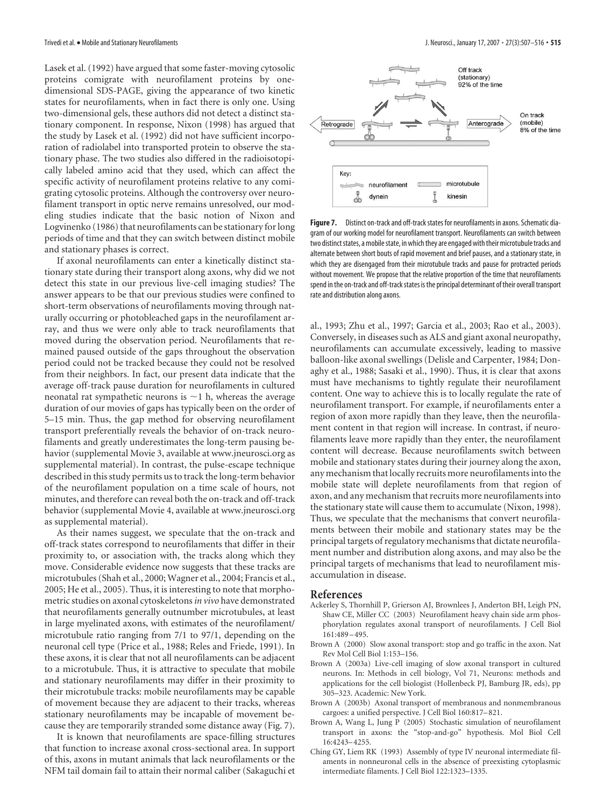Lasek et al. (1992) have argued that some faster-moving cytosolic proteins comigrate with neurofilament proteins by onedimensional SDS-PAGE, giving the appearance of two kinetic states for neurofilaments, when in fact there is only one. Using two-dimensional gels, these authors did not detect a distinct stationary component. In response, Nixon (1998) has argued that the study by Lasek et al. (1992) did not have sufficient incorporation of radiolabel into transported protein to observe the stationary phase. The two studies also differed in the radioisotopically labeled amino acid that they used, which can affect the specific activity of neurofilament proteins relative to any comigrating cytosolic proteins. Although the controversy over neurofilament transport in optic nerve remains unresolved, our modeling studies indicate that the basic notion of Nixon and Logvinenko (1986) that neurofilaments can be stationary for long periods of time and that they can switch between distinct mobile and stationary phases is correct.

If axonal neurofilaments can enter a kinetically distinct stationary state during their transport along axons, why did we not detect this state in our previous live-cell imaging studies? The answer appears to be that our previous studies were confined to short-term observations of neurofilaments moving through naturally occurring or photobleached gaps in the neurofilament array, and thus we were only able to track neurofilaments that moved during the observation period. Neurofilaments that remained paused outside of the gaps throughout the observation period could not be tracked because they could not be resolved from their neighbors. In fact, our present data indicate that the average off-track pause duration for neurofilaments in cultured neonatal rat sympathetic neurons is  $\sim$ 1 h, whereas the average duration of our movies of gaps has typically been on the order of 5–15 min. Thus, the gap method for observing neurofilament transport preferentially reveals the behavior of on-track neurofilaments and greatly underestimates the long-term pausing behavior (supplemental Movie 3, available at www.jneurosci.org as supplemental material). In contrast, the pulse-escape technique described in this study permits us to track the long-term behavior of the neurofilament population on a time scale of hours, not minutes, and therefore can reveal both the on-track and off-track behavior (supplemental Movie 4, available at www.jneurosci.org as supplemental material).

As their names suggest, we speculate that the on-track and off-track states correspond to neurofilaments that differ in their proximity to, or association with, the tracks along which they move. Considerable evidence now suggests that these tracks are microtubules (Shah et al., 2000; Wagner et al., 2004; Francis et al., 2005; He et al., 2005). Thus, it is interesting to note that morphometric studies on axonal cytoskeletons*in vivo* have demonstrated that neurofilaments generally outnumber microtubules, at least in large myelinated axons, with estimates of the neurofilament/ microtubule ratio ranging from 7/1 to 97/1, depending on the neuronal cell type (Price et al., 1988; Reles and Friede, 1991). In these axons, it is clear that not all neurofilaments can be adjacent to a microtubule. Thus, it is attractive to speculate that mobile and stationary neurofilaments may differ in their proximity to their microtubule tracks: mobile neurofilaments may be capable of movement because they are adjacent to their tracks, whereas stationary neurofilaments may be incapable of movement because they are temporarily stranded some distance away (Fig. 7).

It is known that neurofilaments are space-filling structures that function to increase axonal cross-sectional area. In support of this, axons in mutant animals that lack neurofilaments or the NFM tail domain fail to attain their normal caliber (Sakaguchi et



Figure 7. Distinct on-track and off-track states for neurofilaments in axons. Schematic diagram of our working model for neurofilament transport. Neurofilaments can switch between two distinct states, a mobile state, in which they are engaged with their microtubule tracks and alternate between short bouts of rapid movement and brief pauses, and a stationary state, in which they are disengaged from their microtubule tracks and pause for protracted periods without movement. We propose that the relative proportion of the time that neurofilaments spend in the on-track and off-track states is the principal determinant of their overall transport rate and distribution along axons.

al., 1993; Zhu et al., 1997; Garcia et al., 2003; Rao et al., 2003). Conversely, in diseases such as ALS and giant axonal neuropathy, neurofilaments can accumulate excessively, leading to massive balloon-like axonal swellings (Delisle and Carpenter, 1984; Donaghy et al., 1988; Sasaki et al., 1990). Thus, it is clear that axons must have mechanisms to tightly regulate their neurofilament content. One way to achieve this is to locally regulate the rate of neurofilament transport. For example, if neurofilaments enter a region of axon more rapidly than they leave, then the neurofilament content in that region will increase. In contrast, if neurofilaments leave more rapidly than they enter, the neurofilament content will decrease. Because neurofilaments switch between mobile and stationary states during their journey along the axon, any mechanism that locally recruits more neurofilaments into the mobile state will deplete neurofilaments from that region of axon, and any mechanism that recruits more neurofilaments into the stationary state will cause them to accumulate (Nixon, 1998). Thus, we speculate that the mechanisms that convert neurofilaments between their mobile and stationary states may be the principal targets of regulatory mechanisms that dictate neurofilament number and distribution along axons, and may also be the principal targets of mechanisms that lead to neurofilament misaccumulation in disease.

#### **References**

- Ackerley S, Thornhill P, Grierson AJ, Brownlees J, Anderton BH, Leigh PN, Shaw CE, Miller CC (2003) Neurofilament heavy chain side arm phosphorylation regulates axonal transport of neurofilaments. J Cell Biol 161:489 –495.
- Brown A (2000) Slow axonal transport: stop and go traffic in the axon. Nat Rev Mol Cell Biol 1:153–156.
- Brown A (2003a) Live-cell imaging of slow axonal transport in cultured neurons. In: Methods in cell biology, Vol 71, Neurons: methods and applications for the cell biologist (Hollenbeck PJ, Bamburg JR, eds), pp 305–323. Academic: New York.
- Brown A (2003b) Axonal transport of membranous and nonmembranous cargoes: a unified perspective. J Cell Biol 160:817–821.
- Brown A, Wang L, Jung P (2005) Stochastic simulation of neurofilament transport in axons: the "stop-and-go" hypothesis. Mol Biol Cell 16:4243–4255.
- Ching GY, Liem RK (1993) Assembly of type IV neuronal intermediate filaments in nonneuronal cells in the absence of preexisting cytoplasmic intermediate filaments. J Cell Biol 122:1323–1335.